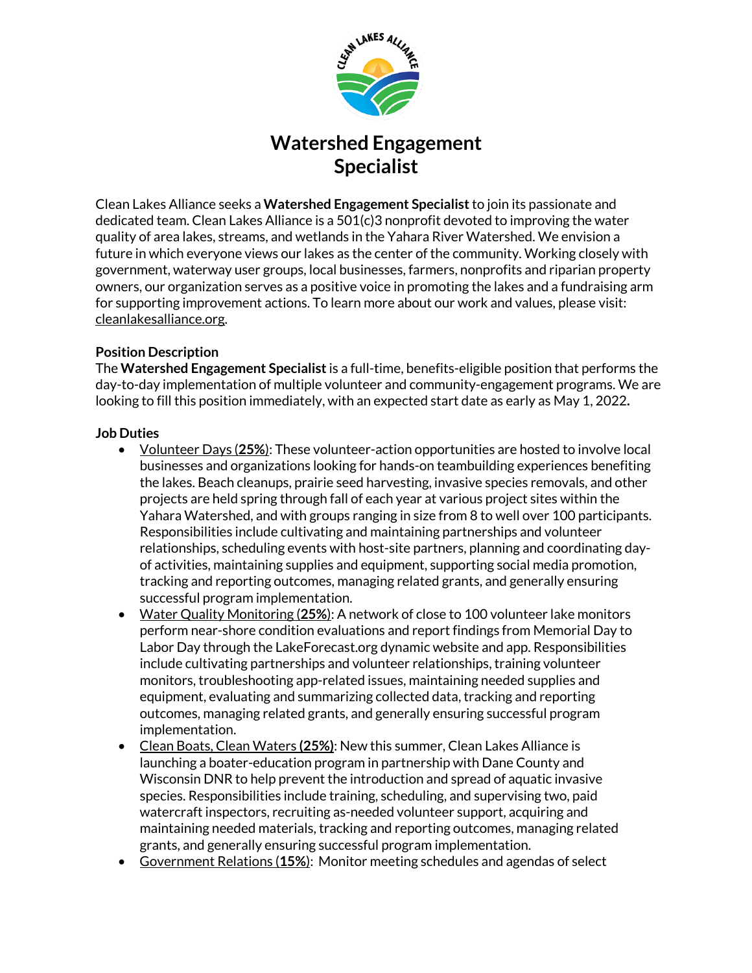

# **Watershed Engagement Specialist**

Clean Lakes Alliance seeks a **Watershed Engagement Specialist**to join its passionate and dedicated team. Clean Lakes Alliance is a 501(c)3 nonprofit devoted to improving the water quality of area lakes, streams, and wetlands in the Yahara River Watershed. We envision a future in which everyone views our lakes as the center of the community. Working closely with government, waterway user groups, local businesses, farmers, nonprofits and riparian property owners, our organization serves as a positive voice in promoting the lakes and a fundraising arm for supporting improvement actions. To learn more about our work and values, please visit: cleanlakesalliance.org.

# **Position Description**

The **Watershed Engagement Specialist**is a full-time, benefits-eligible position that performs the day-to-day implementation of multiple volunteer and community-engagement programs. We are looking to fill this position immediately, with an expected start date as early as May 1, 2022**.**

# **Job Duties**

- Volunteer Days (**25%**): These volunteer-action opportunities are hosted to involve local businesses and organizations looking for hands-on teambuilding experiences benefiting the lakes. Beach cleanups, prairie seed harvesting, invasive species removals, and other projects are held spring through fall of each year at various project sites within the Yahara Watershed, and with groups ranging in size from 8 to well over 100 participants. Responsibilities include cultivating and maintaining partnerships and volunteer relationships, scheduling events with host-site partners, planning and coordinating dayof activities, maintaining supplies and equipment, supporting social media promotion, tracking and reporting outcomes, managing related grants, and generally ensuring successful program implementation.
- Water Quality Monitoring (**25%**): A network of close to 100 volunteer lake monitors perform near-shore condition evaluations and report findings from Memorial Day to Labor Day through the LakeForecast.org dynamic website and app. Responsibilities include cultivating partnerships and volunteer relationships, training volunteer monitors, troubleshooting app-related issues, maintaining needed supplies and equipment, evaluating and summarizing collected data, tracking and reporting outcomes, managing related grants, and generally ensuring successful program implementation.
- Clean Boats, Clean Waters **(25%)**: New this summer, Clean Lakes Alliance is launching a boater-education program in partnership with Dane County and Wisconsin DNR to help prevent the introduction and spread of aquatic invasive species. Responsibilities include training, scheduling, and supervising two, paid watercraft inspectors, recruiting as-needed volunteer support, acquiring and maintaining needed materials, tracking and reporting outcomes, managing related grants, and generally ensuring successful program implementation.
- Government Relations (**15%**): Monitor meeting schedules and agendas of select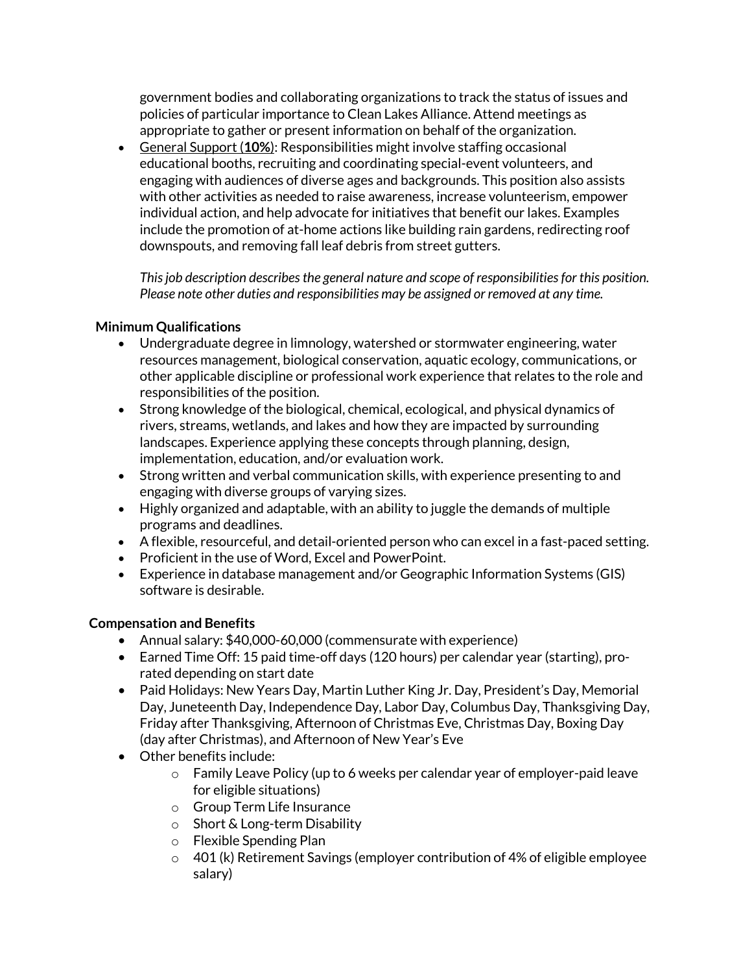government bodies and collaborating organizations to track the status of issues and policies of particular importance to Clean Lakes Alliance. Attend meetings as appropriate to gather or present information on behalf of the organization.

• General Support (**10%**): Responsibilities might involve staffing occasional educational booths, recruiting and coordinating special-event volunteers, and engaging with audiences of diverse ages and backgrounds. This position also assists with other activities as needed to raise awareness, increase volunteerism, empower individual action, and help advocate for initiatives that benefit our lakes. Examples include the promotion of at-home actions like building rain gardens, redirecting roof downspouts, and removing fall leaf debris from street gutters.

*This job description describes the general nature and scope of responsibilities for this position. Please note other duties and responsibilities may be assigned or removed at any time.* 

# **Minimum Qualifications**

- Undergraduate degree in limnology, watershed or stormwater engineering, water resources management, biological conservation, aquatic ecology, communications, or other applicable discipline or professional work experience that relates to the role and responsibilities of the position.
- Strong knowledge of the biological, chemical, ecological, and physical dynamics of rivers, streams, wetlands, and lakes and how they are impacted by surrounding landscapes. Experience applying these concepts through planning, design, implementation, education, and/or evaluation work.
- Strong written and verbal communication skills, with experience presenting to and engaging with diverse groups of varying sizes.
- Highly organized and adaptable, with an ability to juggle the demands of multiple programs and deadlines.
- A flexible, resourceful, and detail-oriented person who can excel in a fast-paced setting.
- Proficient in the use of Word, Excel and PowerPoint.
- Experience in database management and/or Geographic Information Systems (GIS) software is desirable.

#### **Compensation and Benefits**

- Annual salary: \$40,000-60,000 (commensurate with experience)
- Earned Time Off: 15 paid time-off days (120 hours) per calendar year (starting), prorated depending on start date
- Paid Holidays: New Years Day, Martin Luther King Jr. Day, President's Day, Memorial Day, Juneteenth Day, Independence Day, Labor Day, Columbus Day, Thanksgiving Day, Friday after Thanksgiving, Afternoon of Christmas Eve, Christmas Day, Boxing Day (day after Christmas), and Afternoon of New Year's Eve
- Other benefits include:
	- $\circ$  Family Leave Policy (up to 6 weeks per calendar year of employer-paid leave for eligible situations)
	- o Group Term Life Insurance
	- o Short & Long-term Disability
	- o Flexible Spending Plan
	- $\circ$  401 (k) Retirement Savings (employer contribution of 4% of eligible employee salary)